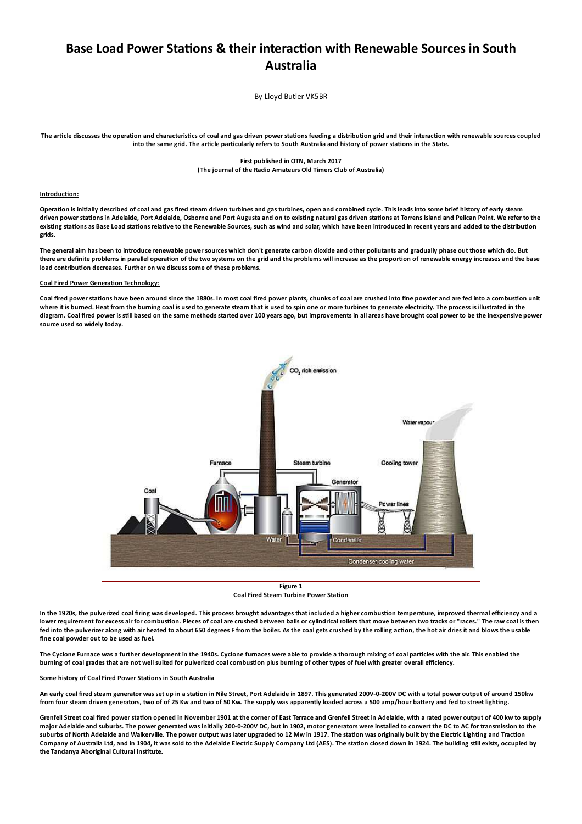# Base Load Power Stations & their interaction with Renewable Sources in South **Australia**

By Lloyd Butler VK5BR

The article discusses the operation and characteristics of coal and gas driven power stations feeding a distribution grid and their interaction with renewable sources coupled into the same grid. The article particularly refers to South Australia and history of power stations in the State.

## First published in OTN, March 2017 (The journal of the Radio Amateurs Old Timers Club of Australia)

## Introduction:

Operation is initially described of coal and gas fired steam driven turbines and gas turbines, open and combined cycle. This leads into some brief history of early steam driven power stations in Adelaide, Port Adelaide, Osborne and Port Augusta and on to existing natural gas driven stations at Torrens Island and Pelican Point. We refer to the existing stations as Base Load stations relative to the Renewable Sources, such as wind and solar, which have been introduced in recent years and added to the distribution aride

The general aim has been to introduce renewable power sources which don't generate carbon dioxide and other pollutants and gradually phase out those which do. But there are definite problems in parallel operation of the two systems on the grid and the problems will increase as the proportion of renewable energy increases and the base load contribution decreases. Further on we discuss some of these problems.

# **Coal Fired Power Generation Technology:**

Coal fired power stations have been around since the 1880s. In most coal fired power plants, chunks of coal are crushed into fine powder and are fed into a combustion unit where it is burned. Heat from the burning coal is used to generate steam that is used to spin one or more turbines to generate electricity. The process is illustrated in the diagram. Coal fired power is still based on the same methods started over 100 years ago, but improvements in all areas have brought coal power to be the inexpensive power source used so widely today.



In the 1920s, the pulverized coal firing was developed. This process brought advantages that included a higher combustion temperature, improved thermal efficiency and a lower requirement for excess air for combustion. Pieces of coal are crushed between balls or cylindrical rollers that move between two tracks or "races." The raw coal is then fed into the pulverizer along with air heated to about 650 degrees F from the boiler. As the coal gets crushed by the rolling action, the hot air dries it and blows the usable fine coal powder out to be used as fuel.

The Cyclone Furnace was a further development in the 1940s. Cyclone furnaces were able to provide a thorough mixing of coal particles with the air. This enabled the burning of coal grades that are not well suited for pulverized coal combustion plus burning of other types of fuel with greater overall efficiency.

# Some history of Coal Fired Power Stations in South Australia

An early coal fired steam generator was set up in a station in Nile Street, Port Adelaide in 1897. This generated 200V-0-200V DC with a total power output of around 150kw from four steam driven generators, two of of 25 Kw and two of 50 Kw. The supply was apparently loaded across a 500 amp/hour battery and fed to street lighting.

Grenfell Street coal fired power station opened in November 1901 at the corner of East Terrace and Grenfell Street in Adelaide, with a rated power output of 400 kw to supply major Adelaide and suburbs. The power generated was initially 200-0-200V DC, but in 1902, motor generators were installed to convert the DC to AC for transmission to the suburbs of North Adelaide and Walkerville. The power output was later upgraded to 12 Mw in 1917. The station was originally built by the Electric Lighting and Traction Company of Australia Ltd, and in 1904, it was sold to the Adelaide Electric Supply Company Ltd (AES). The station closed down in 1924. The building still exists, occupied by the Tandanya Aboriginal Cultural Institute.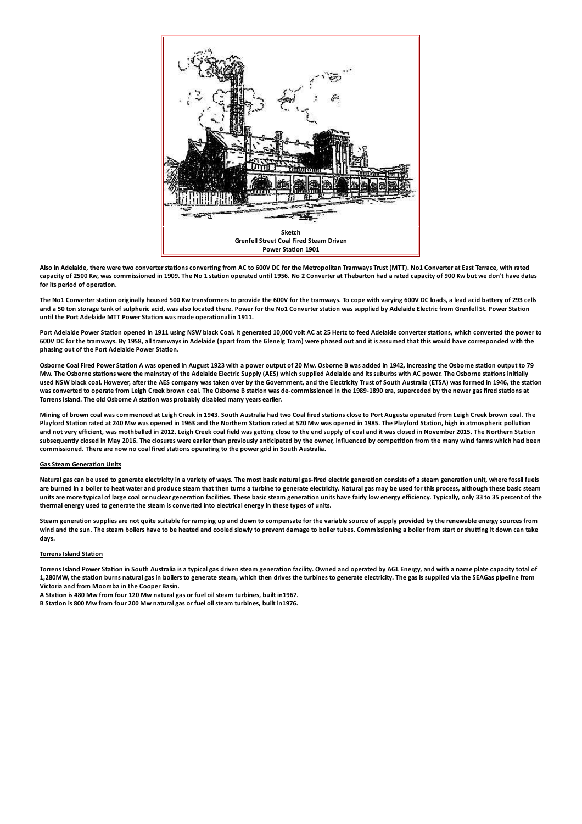

Also in Adelaide, there were two converter stations converting from AC to 600V DC for the Metropolitan Tramways Trust (MTT). No1 Converter at East Terrace, with rated capacity of 2500 Kw, was commissioned in 1909. The No 1 station operated until 1956. No 2 Converter at Thebarton had a rated capacity of 900 Kw but we don't have dates for its period of operation.

The No1 Converter station originally housed 500 Kw transformers to provide the 600V for the tramways. To cope with varying 600V DC loads, a lead acid battery of 293 cells and a 50 ton storage tank of sulphuric acid, was also located there. Power for the No1 Converter station was supplied by Adelaide Electric from Grenfell St. Power Station until the Port Adelaide MTT Power Station was made operational in 1911.

Port Adelaide Power Station opened in 1911 using NSW black Coal. It generated 10,000 volt AC at 25 Hertz to feed Adelaide converter stations, which converted the power to 600V DC for the tramways. By 1958, all tramways in Adelaide (apart from the Glenelg Tram) were phased out and it is assumed that this would have corresponded with the phasing out of the Port Adelaide Power Station.

Osborne Coal Fired Power Station A was opened in August 1923 with a power output of 20 Mw. Osborne B was added in 1942, increasing the Osborne station output to 79 Mw. The Osborne stations were the mainstay of the Adelaide Electric Supply (AES) which supplied Adelaide and its suburbs with AC power. The Osborne stations initially used NSW black coal. However, after the AES company was taken over by the Government, and the Electricity Trust of South Australia (ETSA) was formed in 1946, the station was converted to operate from Leigh Creek brown coal. The Osborne B station was de-commissioned in the 1989-1890 era, superceded by the newer gas fired stations at Torrens Island. The old Osborne A station was probably disabled many years earlier.

Mining of brown coal was commenced at Leigh Creek in 1943. South Australia had two Coal fired stations close to Port Augusta operated from Leigh Creek brown coal. The Playford Station rated at 240 Mw was opened in 1963 and the Northern Station rated at 520 Mw was opened in 1985. The Playford Station, high in atmospheric pollution and not very efficient, was mothballed in 2012. Leigh Creek coal field was getting close to the end supply of coal and it was closed in November 2015. The Northern Station subsequently closed in May 2016. The closures were earlier than previously anticipated by the owner, influenced by competition from the many wind farms which had been commissioned. There are now no coal fired stations operating to the power grid in South Australia.

# **Gas Steam Generation Units**

Natural gas can be used to generate electricity in a variety of ways. The most basic natural gas-fired electric generation consists of a steam generation unit, where fossil fuels are burned in a boiler to heat water and produce steam that then turns a turbine to generate electricity. Natural gas may be used for this process, although these basic steam units are more typical of large coal or nuclear generation facilities. These basic steam generation units have fairly low energy efficiency. Typically, only 33 to 35 percent of the thermal energy used to generate the steam is converted into electrical energy in these types of units.

Steam generation supplies are not quite suitable for ramping up and down to compensate for the variable source of supply provided by the renewable energy sources from wind and the sun. The steam boilers have to be heated and cooled slowly to prevent damage to boiler tubes. Commissioning a boiler from start or shutting it down can take davs.

## **Torrens Island Station**

Torrens Island Power Station in South Australia is a typical gas driven steam generation facility. Owned and operated by AGL Energy, and with a name plate capacity total of 1.280MW, the station burns natural gas in boilers to generate steam, which then drives the turbines to generate electricity. The gas is supplied via the SEAGas pineline from Victoria and from Moomba in the Cooper Basin.

A Station is 480 Mw from four 120 Mw natural gas or fuel oil steam turbines, built in 1967.

B Station is 800 Mw from four 200 Mw natural gas or fuel oil steam turbines, built in 1976.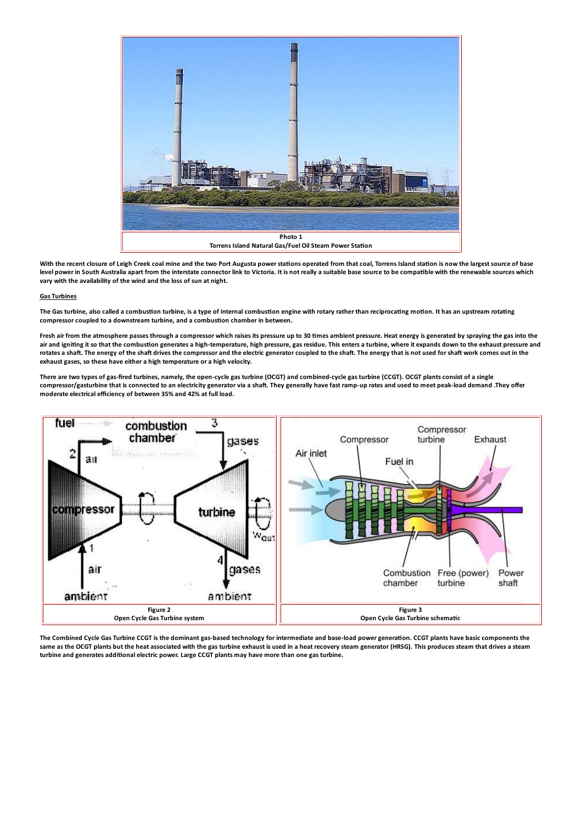

With the recent closure of Leigh Creek coal mine and the two Port Augusta power stations operated from that coal, Torrens Island station is now the largest source of base level power in South Australia apart from the interstate connector link to Victoria. It is not really a suitable base source to be compatible with the renewable sources which vary with the availability of the wind and the loss of sun at night.

## **Gas Turbines**

The Gas turbine, also called a combustion turbine, is a type of internal combustion engine with rotary rather than reciprocating motion. It has an upstream rotating compressor coupled to a downstream turbine, and a combustion chamber in between.

Fresh air from the atmosphere passes through a compressor which raises its pressure up to 30 times ambient pressure. Heat energy is generated by spraying the gas into the air and igniting it so that the combustion generates a high-temperature, high pressure, gas residue. This enters a turbine, where it expands down to the exhaust pressure and rotates a shaft. The energy of the shaft drives the compressor and the electric generator coupled to the shaft. The energy that is not used for shaft work comes out in the exhaust gases, so these have either a high temperature or a high velocity.

There are two types of gas-fired turbines, namely, the open-cycle gas turbine (OCGT) and combined-cycle gas turbine (CCGT). OCGT plants consist of a single compressor/gasturbine that is connected to an electricity generator via a shaft. They generally have fast ramp-up rates and used to meet peak-load demand .They offer moderate electrical efficiency of between 35% and 42% at full load.



The Combined Cycle Gas Turbine CCGT is the dominant gas-based technology for intermediate and base-load power generation. CCGT plants have basic components the same as the OCGT plants but the heat associated with the gas turbine exhaust is used in a heat recovery steam generator (HRSG). This produces steam that drives a steam turbine and generates additional electric power. Large CCGT plants may have more than one gas turbine.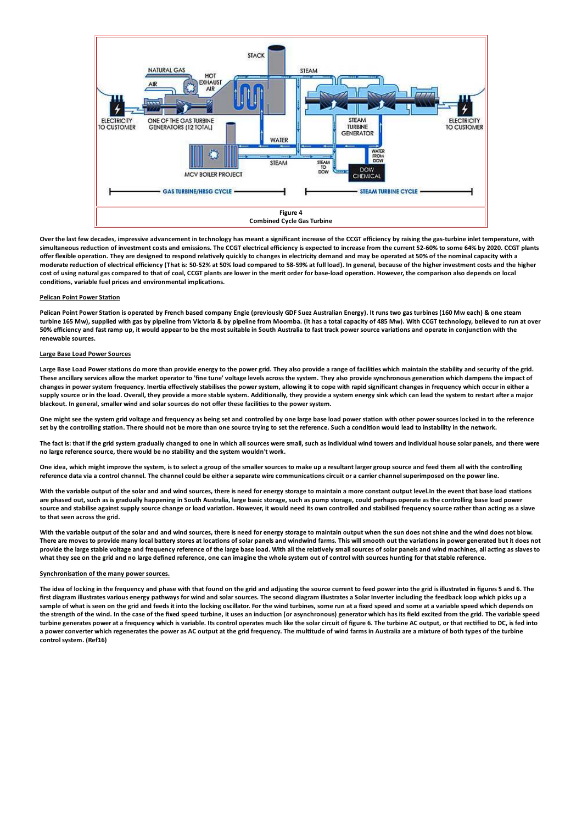

Over the last few decades, impressive advancement in technology has meant a significant increase of the CCGT efficiency by raising the gas-turbine inlet temperature, with simultaneous reduction of investment costs and emissions. The CCGT electrical efficiency is expected to increase from the current 52-60% to some 64% by 2020. CCGT plants offer flexible operation. They are designed to respond relatively quickly to changes in electricity demand and may be operated at 50% of the nominal capacity with a moderate reduction of electrical efficiency (That is: 50-52% at 50% load compared to 58-59% at full load). In general, because of the higher investment costs and the higher cost of using natural gas compared to that of coal, CCGT plants are lower in the merit order for base-load operation. However, the comparison also depends on local conditions, variable fuel prices and environmental implications.

#### **Pelican Point Power Station**

Pelican Point Power Station is operated by French based company Engie (previously GDF Suez Australian Energy). It runs two gas turbines (160 Mw each) & one steam turbine 165 Mw), supplied with gas by pipeline from Victoria & by pipeline from Moomba. (It has a total capacity of 485 Mw). With CCGT technology, believed to run at over 50% efficiency and fast ramp up, it would appear to be the most suitable in South Australia to fast track power source variations and operate in conjunction with the renewable sources.

## **Large Base Load Power Sources**

Large Base Load Power stations do more than provide energy to the power grid. They also provide a range of facilities which maintain the stability and security of the grid. These ancillary services allow the market operator to 'fine tune' voltage levels across the system. They also provide synchronous generation which dampens the impact of changes in power system frequency. Inertia effectively stabilises the power system, allowing it to cope with rapid significant changes in frequency which occur in either a supply source or in the load. Overall, they provide a more stable system. Additionally, they provide a system energy sink which can lead the system to restart after a major blackout. In general, smaller wind and solar sources do not offer these facilities to the power system.

One might see the system grid voltage and frequency as being set and controlled by one large base load power station with other power sources locked in to the reference set by the controlling station. There should not be more than one source trying to set the reference. Such a condition would lead to instability in the network.

The fact is: that if the grid system gradually changed to one in which all sources were small, such as individual wind towers and individual house solar panels, and there were no large reference source, there would be no stability and the system wouldn't work.

One idea, which might improve the system, is to select a group of the smaller sources to make up a resultant larger group source and feed them all with the controlling reference data via a control channel. The channel could be either a separate wire communications circuit or a carrier channel superimposed on the power line.

With the variable output of the solar and and wind sources, there is need for energy storage to maintain a more constant output level. In the event that base load stations are phased out, such as is gradually happening in South Australia, large basic storage, such as pump storage, could perhaps operate as the controlling base load power source and stabilise against supply source change or load variation. However, it would need its own controlled and stabilised frequency source rather than acting as a slave to that seen across the grid.

With the variable output of the solar and and wind sources, there is need for energy storage to maintain output when the sun does not shine and the wind does not blow. There are moves to provide many local battery stores at locations of solar panels and windwind farms. This will smooth out the variations in power generated but it does not provide the large stable voltage and frequency reference of the large base load. With all the relatively small sources of solar panels and wind machines, all acting as slaves to what they see on the grid and no large defined reference, one can imagine the whole system out of control with sources hunting for that stable reference.

#### Synchronisation of the many power sources.

The idea of locking in the frequency and phase with that found on the grid and adjusting the source current to feed power into the grid is illustrated in figures 5 and 6. The first diagram illustrates various energy pathways for wind and solar sources. The second diagram illustrates a Solar Inverter including the feedback loop which picks up a sample of what is seen on the grid and feeds it into the locking oscillator. For the wind turbines, some run at a fixed speed and some at a variable speed which depends on the strength of the wind. In the case of the fixed speed turbine, it uses an induction (or asynchronous) generator which has its field excited from the grid. The variable speed turbine generates power at a frequency which is variable. Its control operates much like the solar circuit of figure 6. The turbine AC output, or that rectified to DC, is fed into a power converter which regenerates the power as AC output at the grid frequency. The multitude of wind farms in Australia are a mixture of both types of the turbine control system. (Ref16)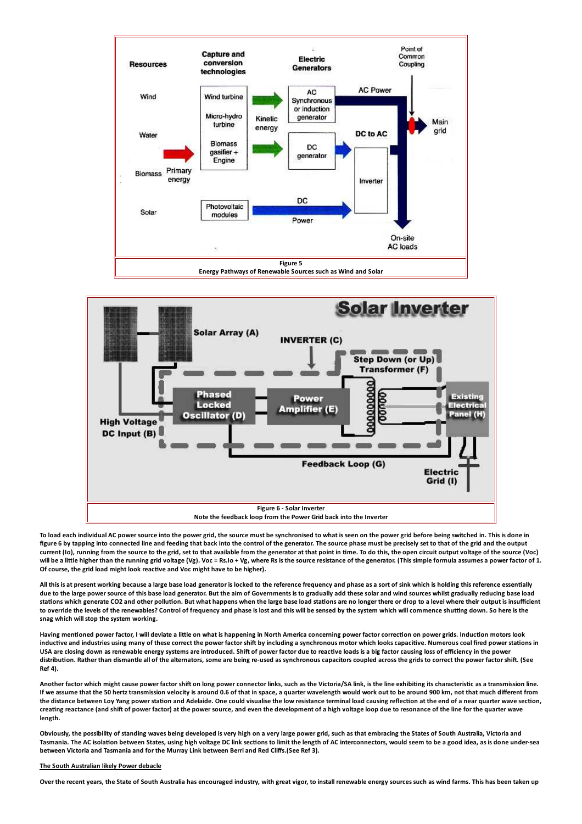



To load each individual AC power source into the power grid, the source must be synchronised to what is seen on the power grid before being switched in. This is done in figure 6 by tapping into connected line and feeding that back into the control of the generator. The source phase must be precisely set to that of the grid and the output current (Io), running from the source to the grid, set to that available from the generator at that point in time. To do this, the open circuit output voltage of the source (Voc) will be a little higher than the running grid voltage (Vg). Voc = Rs.Io + Vg, where Rs is the source resistance of the generator. (This simple formula assumes a power factor of 1. Of course, the grid load might look reactive and Voc might have to be higher).

All this is at present working because a large base load generator is locked to the reference frequency and phase as a sort of sink which is holding this reference essentially due to the large power source of this base load generator. But the aim of Governments is to gradually add these solar and wind sources whilst gradually reducing base load stations which generate CO2 and other pollution. But what happens when the large base load stations are no longer there or drop to a level where their output is insufficient to override the levels of the renewables? Control of frequency and phase is lost and this will be sensed by the system which will commence shutting down. So here is the snag which will stop the system working.

Having mentioned power factor, I will deviate a little on what is happening in North America concerning power factor correction on power grids. Induction motors look inductive and industries using many of these correct the power factor shift by including a synchronous motor which looks capacitive. Numerous coal fired power stations in USA are closing down as renewable energy systems are introduced. Shift of power factor due to reactive loads is a big factor causing loss of efficiency in the power distribution. Rather than dismantle all of the alternators, some are being re-used as synchronous capacitors coupled across the grids to correct the power factor shift. (See  $Ref(4)$ 

Another factor which might cause power factor shift on long power connector links, such as the Victoria/SA link, is the line exhibiting its characteristic as a transmission line. If we assume that the 50 hertz transmission velocity is around 0.6 of that in space, a quarter wavelength would work out to be around 900 km, not that much different from the distance between Loy Yang power station and Adelaide. One could visualise the low resistance terminal load causing reflection at the end of a near quarter wave section, creating reactance (and shift of power factor) at the power source, and even the development of a high voltage loop due to resonance of the line for the quarter wave length.

Obviously, the possibility of standing waves being developed is very high on a very large power grid, such as that embracing the States of South Australia, Victoria and Tasmania. The AC isolation between States, using high voltage DC link sections to limit the length of AC interconnectors, would seem to be a good idea, as is done under-sea between Victoria and Tasmania and for the Murray Link between Berri and Red Cliffs. (See Ref 3).

# The South Australian likely Power debacle

Over the recent years, the State of South Australia has encouraged industry, with great vigor, to install renewable energy sources such as wind farms. This has been taken up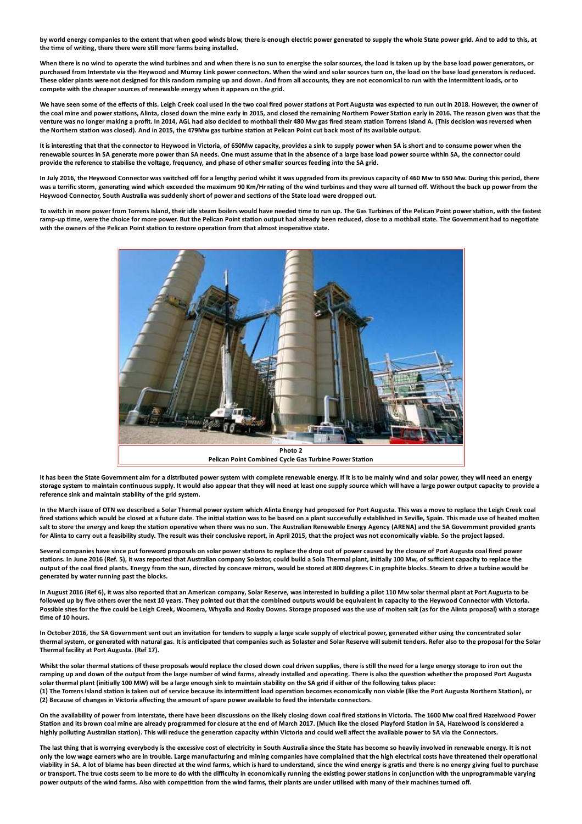by world energy companies to the extent that when good winds blow, there is enough electric power generated to supply the whole State power grid. And to add to this, at the time of writing, there there were still more farms being installed.

When there is no wind to operate the wind turbines and and when there is no sun to energise the solar sources, the load is taken up by the base load power generators, or purchased from Interstate via the Heywood and Murray Link power connectors. When the wind and solar sources turn on, the load on the base load generators is reduced. These older plants were not designed for this random ramping up and down. And from all accounts, they are not economical to run with the intermittent loads, or to compete with the cheaper sources of renewable energy when it appears on the grid.

We have seen some of the effects of this. Leigh Creek coal used in the two coal fired power stations at Port Augusta was expected to run out in 2018. However, the owner of the coal mine and power stations, Alinta, closed down the mine early in 2015, and closed the remaining Northern Power Station early in 2016. The reason given was that the venture was no longer making a profit. In 2014, AGL had also decided to mothball their 480 Mw gas fired steam station Torrens Island A. (This decision was reversed when the Northern station was closed). And in 2015, the 479Mw gas turbine station at Pelican Point cut back most of its available output.

It is interesting that that the connector to Heywood in Victoria, of 650Mw capacity, provides a sink to supply power when SA is short and to consume power when the renewable sources in SA generate more power than SA needs. One must assume that in the absence of a large base load power source within SA, the connector could provide the reference to stabilise the voltage, frequency, and phase of other smaller sources feeding into the SA grid.

In July 2016, the Heywood Connector was switched off for a lengthy period whilst it was upgraded from its previous capacity of 460 Mw to 650 Mw. During this period, there was a terrific storm, generating wind which exceeded the maximum 90 Km/Hr rating of the wind turbines and they were all turned off. Without the back up power from the Heywood Connector, South Australia was suddenly short of power and sections of the State load were dropped out,

To switch in more power from Torrens Island, their idle steam boilers would have needed time to run up. The Gas Turbines of the Pelican Point power station, with the fastest ramp-up time, were the choice for more power. But the Pelican Point station output had already been reduced, close to a mothball state. The Government had to negotiate with the owners of the Pelican Point station to restore operation from that almost inoperative state.



It has been the State Government aim for a distributed power system with complete renewable energy. If it is to be mainly wind and solar power, they will need an energy storage system to maintain continuous supply. It would also appear that they will need at least one supply source which will have a large power output capacity to provide a reference sink and maintain stability of the grid system.

In the March issue of OTN we described a Solar Thermal power system which Alinta Energy had proposed for Port Augusta. This was a move to replace the Leigh Creek coal fired stations which would be closed at a future date. The initial station was to be based on a plant successfully established in Seville, Spain. This made use of heated molten salt to store the energy and keep the station operative when there was no sun. The Australian Renewable Energy Agency (ARENA) and the SA Government provided grants for Alinta to carry out a feasibility study. The result was their conclusive report, in April 2015, that the project was not economically viable. So the project lapsed.

Several companies have since put foreword proposals on solar power stations to replace the drop out of power caused by the closure of Port Augusta coal fired power stations. In June 2016 (Ref. 5), it was reported that Australian company Solastor, could build a Sola Thermal plant, initially 100 Mw, of sufficient capacity to replace the output of the coal fired plants. Energy from the sun, directed by concave mirrors, would be stored at 800 degrees C in graphite blocks. Steam to drive a turbine would be generated by water running past the blocks.

In August 2016 (Ref 6), it was also reported that an American company, Solar Reserve, was interested in building a pilot 110 Mw solar thermal plant at Port Augusta to be followed up by five others over the next 10 years. They pointed out that the combined outputs would be equivalent in capacity to the Heywood Connector with Victoria. Possible sites for the five could be Leigh Creek, Woomera, Whyalla and Roxby Downs. Storage proposed was the use of molten salt (as for the Alinta proposal) with a storage time of 10 hours.

In October 2016, the SA Government sent out an invitation for tenders to supply a large scale supply of electrical power, generated either using the concentrated solar thermal system, or generated with natural gas. It is anticipated that companies such as Solaster and Solar Reserve will submit tenders. Refer also to the proposal for the Solar Thermal facility at Port Augusta. (Ref 17).

Whilst the solar thermal stations of these proposals would replace the closed down coal driven supplies, there is still the need for a large energy storage to iron out the ramping up and down of the output from the large number of wind farms, already installed and operating. There is also the question whether the proposed Port Augusta solar thermal plant (initially 100 MW) will be a large enough sink to maintain stability on the SA grid if either of the following takes place: (1) The Torrens Island station is taken out of service because its intermittent load operation becomes economically non viable (like the Port Augusta Northern Station), or (2) Because of changes in Victoria affecting the amount of spare power available to feed the interstate connectors.

On the availability of power from interstate, there have been discussions on the likely closing down coal fired stations in Victoria. The 1600 Mw coal fired Hazelwood Power Station and its brown coal mine are already programmed for closure at the end of March 2017. (Much like the closed Playford Station in SA, Hazelwood is considered a highly polluting Australian station). This will reduce the generation capacity within Victoria and could well affect the available power to SA via the Connectors.

The last thing that is worrving everybody is the excessive cost of electricity in South Australia since the State has become so heavily involved in renewable energy. It is not only the low wage earners who are in trouble. Large manufacturing and mining companies have complained that the high electrical costs have threatened their operational viability in SA. A lot of blame has been directed at the wind farms, which is hard to understand, since the wind energy is gratis and there is no energy giving fuel to purchase or transport. The true costs seem to be more to do with the difficulty in economically running the existing power stations in conjunction with the unprogrammable varying power outputs of the wind farms. Also with competition from the wind farms, their plants are under utilised with many of their machines turned off.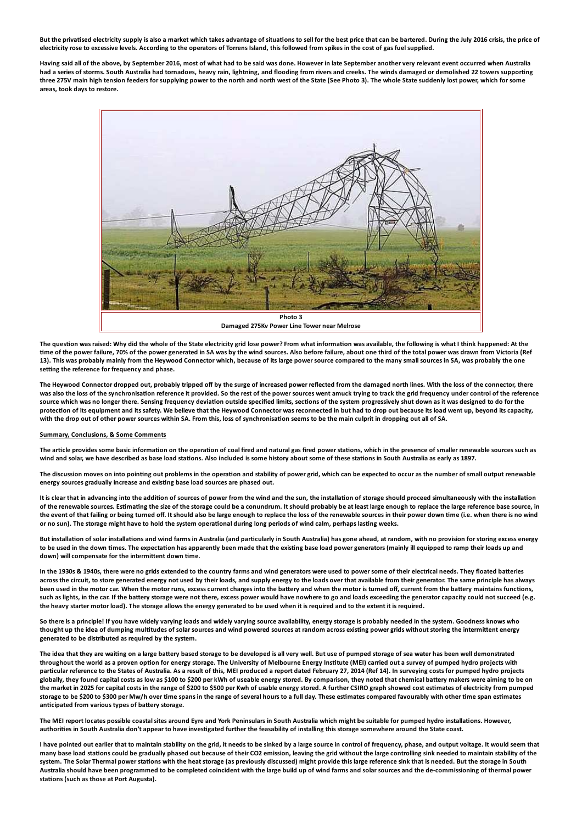But the privatised electricity supply is also a market which takes advantage of situations to sell for the best price that can be bartered. During the July 2016 crisis, the price of electricity rose to excessive levels. According to the operators of Torrens Island, this followed from spikes in the cost of gas fuel supplied.

Having said all of the above, by September 2016, most of what had to be said was done. However in late September another very relevant event occurred when Australia had a series of storms. South Australia had tornadoes, heavy rain, lightning, and flooding from rivers and creeks. The winds damaged or demolished 22 towers supporting three 275V main high tension feeders for supplying power to the north and north west of the State (See Photo 3). The whole State suddenly lost power, which for some areas, took days to restore.



The question was raised: Why did the whole of the State electricity grid lose power? From what information was available, the following is what I think happened: At the time of the power failure. 70% of the power generated in SA was by the wind sources. Also before failure, about one third of the total power was drawn from Victoria (Ref 13). This was probably mainly from the Heywood Connector which, because of its large power source compared to the many small sources in SA, was probably the one setting the reference for frequency and phase.

The Heywood Connector dropped out, probably tripped off by the surge of increased power reflected from the damaged north lines. With the loss of the connector, there was also the loss of the synchronisation reference it provided. So the rest of the power sources went amuck trying to track the grid frequency under control of the reference source which was no longer there. Sensing frequency deviation outside specified limits, sections of the system progressively shut down as it was designed to do for the protection of its equipment and its safety. We believe that the Heywood Connector was reconnected in but had to drop out because its load went up, beyond its capacity, with the drop out of other power sources within SA. From this, loss of synchronisation seems to be the main culprit in dropping out all of SA.

#### Summary, Conclusions, & Some Comments

The article provides some basic information on the operation of coal fired and natural gas fired power stations, which in the presence of smaller renewable sources such as wind and solar, we have described as base load stations. Also included is some history about some of these stations in South Australia as early as 1897.

The discussion moves on into pointing out problems in the operation and stability of power grid, which can be expected to occur as the number of small output renewable energy sources gradually increase and existing base load sources are phased out.

It is clear that in advancing into the addition of sources of power from the wind and the sun, the installation of storage should proceed simultaneously with the installation of the renewable sources. Estimating the size of the storage could be a conundrum. It should probably be at least large enough to replace the large reference base source, in the event of that failing or being turned off. It should also be large enough to replace the loss of the renewable sources in their power down time (i.e. when there is no wind or no sun). The storage might have to hold the system operational during long periods of wind calm, perhaps lasting weeks.

But installation of solar installations and wind farms in Australia (and particularly in South Australia) has gone ahead, at random, with no provision for storing excess energy to be used in the down times. The expectation has apparently been made that the existing base load power generators (mainly ill equipped to ramp their loads up and down) will compensate for the intermittent down time.

In the 1930s & 1940s, there were no grids extended to the country farms and wind generators were used to power some of their electrical needs. They floated batteries across the circuit, to store generated energy not used by their loads, and supply energy to the loads over that available from their generator. The same principle has always been used in the motor car. When the motor runs, excess current charges into the battery and when the motor is turned off, current from the battery maintains functions, such as lights, in the car. If the battery storage were not there, excess power would have nowhere to go and loads exceeding the generator capacity could not succeed (e.g. the heavy starter motor load). The storage allows the energy generated to be used when it is required and to the extent it is required.

So there is a principle! If you have widely varying loads and widely varying source availability, energy storage is probably needed in the system. Goodness knows who thought up the idea of dumping multitudes of solar sources and wind powered sources at random across existing power grids without storing the intermittent energy generated to be distributed as required by the system.

The idea that they are waiting on a large battery based storage to be developed is all very well. But use of pumped storage of sea water has been well demonstrated throughout the world as a proven option for energy storage. The University of Melbourne Energy Institute (MEI) carried out a survey of pumped hydro projects with particular reference to the States of Australia. As a result of this, MEI produced a report dated February 27, 2014 (Ref 14). In surveying costs for pumped hydro projects globally, they found capital costs as low as \$100 to \$200 per kWh of useable energy stored. By comparison, they noted that chemical battery makers were aiming to be on the market in 2025 for capital costs in the range of \$200 to \$500 per Kwh of usable energy stored. A further CSIRO graph showed cost estimates of electricity from pumped storage to be \$200 to \$300 per Mw/h over time spans in the range of several hours to a full day. These estimates compared favourably with other time span estimates anticipated from various types of battery storage.

The MEI report locates possible coastal sites around Evre and York Peninsulars in South Australia which might be suitable for pumped hydro installations. However, authorities in South Australia don't appear to have investigated further the feasability of installing this storage somewhere around the State coast.

I have pointed out earlier that to maintain stability on the grid, it needs to be sinked by a large source in control of frequency, phase, and output voltage. It would seem that many base load stations could be gradually phased out because of their CO2 emission, leaving the grid without the large controlling sink needed to maintain stability of the system. The Solar Thermal nower stations with the heat storage (as previously discussed) might provide this large reference sink that is needed. But the storage in South Australia should have been programmed to be completed coincident with the large build up of wind farms and solar sources and the de-commissioning of thermal power stations (such as those at Port Augusta).